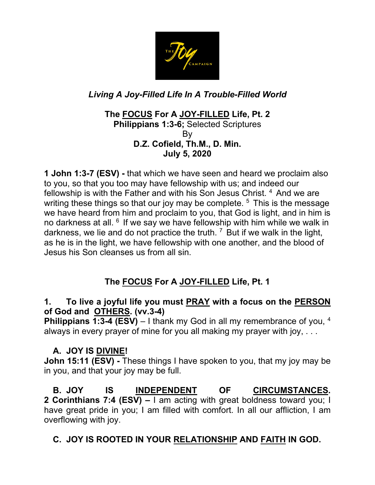

### *Living A Joy-Filled Life In A Trouble-Filled World*

#### **The FOCUS For A JOY-FILLED Life, Pt. 2 Philippians 1:3-6;** Selected Scriptures By **D.Z. Cofield, Th.M., D. Min. July 5, 2020**

**1 John 1:3-7 (ESV) -** that which we have seen and heard we proclaim also to you, so that you too may have fellowship with us; and indeed our fellowship is with the Father and with his Son Jesus Christ. 4 And we are writing these things so that our joy may be complete.<sup>5</sup> This is the message we have heard from him and proclaim to you, that God is light, and in him is no darkness at all.  $6$  If we say we have fellowship with him while we walk in darkness, we lie and do not practice the truth.  $^7$  But if we walk in the light, as he is in the light, we have fellowship with one another, and the blood of Jesus his Son cleanses us from all sin.

# **The FOCUS For A JOY-FILLED Life, Pt. 1**

### **1. To live a joyful life you must PRAY with a focus on the PERSON of God and OTHERS. (vv.3-4)**

**Philippians 1:3-4 (ESV)** – I thank my God in all my remembrance of you, <sup>4</sup> always in every prayer of mine for you all making my prayer with joy, . . .

### **A. JOY IS DIVINE!**

**John 15:11 (ESV) -** These things I have spoken to you, that my joy may be in you, and that your joy may be full.

**B. JOY IS INDEPENDENT OF CIRCUMSTANCES. 2 Corinthians 7:4 (ESV) –** I am acting with great boldness toward you; I have great pride in you; I am filled with comfort. In all our affliction, I am overflowing with joy.

## **C. JOY IS ROOTED IN YOUR RELATIONSHIP AND FAITH IN GOD.**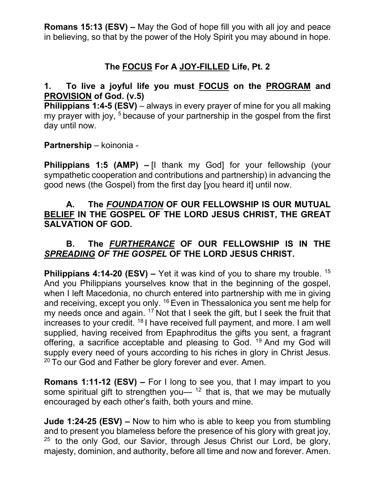**Romans 15:13 (ESV) –** May the God of hope fill you with all joy and peace in believing, so that by the power of the Holy Spirit you may abound in hope.

## **The FOCUS For A JOY-FILLED Life, Pt. 2**

#### **1. To live a joyful life you must FOCUS on the PROGRAM and PROVISION of God. (v.5)**

**Philippians 1:4-5 (ESV)** – always in every prayer of mine for you all making my prayer with joy, <sup>5</sup> because of your partnership in the gospel from the first day until now.

**Partnership** – koinonia -

**Philippians 1:5 (AMP) – [I thank my God] for your fellowship (your** sympathetic cooperation and contributions and partnership) in advancing the good news (the Gospel) from the first day [you heard it] until now.

#### **A. The** *FOUNDATION* **OF OUR FELLOWSHIP IS OUR MUTUAL BELIEF IN THE GOSPEL OF THE LORD JESUS CHRIST, THE GREAT SALVATION OF GOD.**

### **B. The** *FURTHERANCE* **OF OUR FELLOWSHIP IS IN THE**  *SPREADING OF THE GOSPEL* **OF THE LORD JESUS CHRIST.**

**Philippians 4:14-20 (ESV) –** Yet it was kind of you to share my trouble. <sup>15</sup> And you Philippians yourselves know that in the beginning of the gospel, when I left Macedonia, no church entered into partnership with me in giving and receiving, except you only.  $16$  Even in Thessalonica you sent me help for my needs once and again. <sup>17</sup> Not that I seek the gift, but I seek the fruit that increases to your credit.  $18$  I have received full payment, and more. I am well supplied, having received from Epaphroditus the gifts you sent, a fragrant offering, a sacrifice acceptable and pleasing to God. <sup>19</sup> And my God will supply every need of yours according to his riches in glory in Christ Jesus.  $20$  To our God and Father be glory forever and ever. Amen.

**Romans 1:11-12 (ESV) –** For I long to see you, that I may impart to you some spiritual gift to strengthen you—  $12$  that is, that we may be mutually encouraged by each other's faith, both yours and mine.

**Jude 1:24-25 (ESV) –** Now to him who is able to keep you from stumbling and to present you blameless before the presence of his glory with great joy,  $25$  to the only God, our Savior, through Jesus Christ our Lord, be glory, majesty, dominion, and authority, before all time and now and forever. Amen.